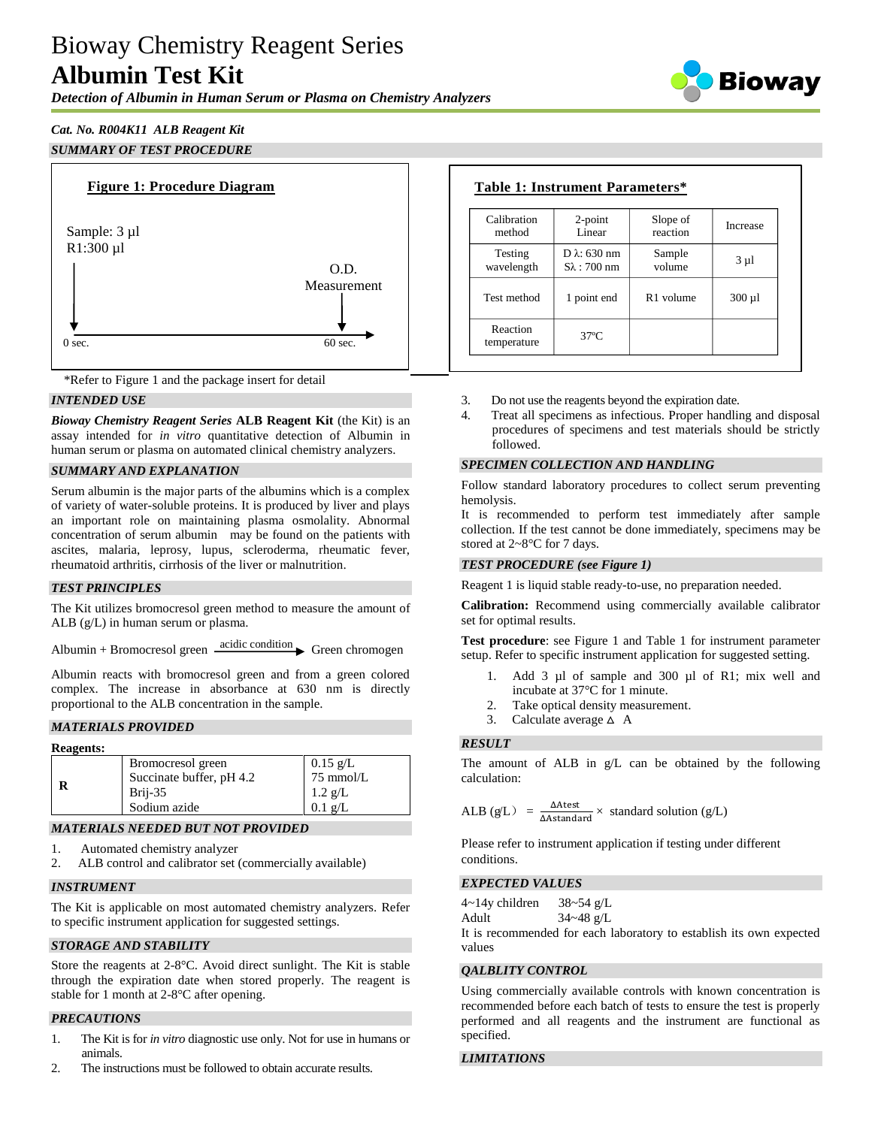# Bioway Chemistry Reagent Series **Albumin Test Kit**

*Detection of Albumin in Human Serum or Plasma on Chemistry Analyzers*



## *Cat. No. R004K11 ALB Reagent Kit SUMMARY OF TEST PROCEDURE*



\*Refer to Figure 1 and the package insert for detail

## *INTENDED USE*

*Bioway Chemistry Reagent Series* **ALB Reagent Kit** (the Kit) is an assay intended for *in vitro* quantitative detection of Albumin in human serum or plasma on automated clinical chemistry analyzers.

## *SUMMARY AND EXPLANATION*

Serum albumin is the major parts of the albumins which is a complex of variety of water-soluble proteins. It is produced by liver and plays an important role on maintaining plasma osmolality. Abnormal concentration of serum albumin may be found on the patients with ascites, malaria, leprosy, lupus, scleroderma, rheumatic fever, rheumatoid arthritis, cirrhosis of the liver or malnutrition.

## *TEST PRINCIPLES*

The Kit utilizes bromocresol green method to measure the amount of ALB (g/L) in human serum or plasma.

Albumin + Bromocresol green  $\frac{\text{acidic condition}}{\text{Green chromogen}}$ 

Albumin reacts with bromocresol green and from a green colored complex. The increase in absorbance at 630 nm is directly proportional to the ALB concentration in the sample.

## *MATERIALS PROVIDED*

| <b>Reagents:</b> |                                                                          |                                                           |
|------------------|--------------------------------------------------------------------------|-----------------------------------------------------------|
|                  | Bromocresol green<br>Succinate buffer, pH 4.2<br>Brij-35<br>Sodium azide | $0.15 \text{ g/L}$<br>75 mmol/L<br>$1.2 g/L$<br>$0.1 g/L$ |
|                  |                                                                          |                                                           |

## *MATERIALS NEEDED BUT NOT PROVIDED*

- 1. Automated chemistry analyzer
- 2. ALB control and calibrator set (commercially available)

#### *INSTRUMENT*

The Kit is applicable on most automated chemistry analyzers. Refer to specific instrument application for suggested settings.

## *STORAGE AND STABILITY*

Store the reagents at 2-8°C. Avoid direct sunlight. The Kit is stable through the expiration date when stored properly. The reagent is stable for 1 month at 2-8°C after opening.

## *PRECAUTIONS*

- 1. The Kit is for *in vitro* diagnostic use only. Not for use in humans or animals.
- 2. The instructions must be followed to obtain accurate results.

| Calibration             | $2$ -point             | Slope of              | Increase    |
|-------------------------|------------------------|-----------------------|-------------|
| method                  | Linear                 | reaction              |             |
| Testing                 | D $\lambda$ : 630 nm   | Sample                | $3 \mu l$   |
| wavelength              | $S_{\lambda}$ : 700 nm | volume                |             |
| Test method             | 1 point end            | R <sub>1</sub> volume | $300 \mu l$ |
| Reaction<br>temperature | $37^\circ$ C           |                       |             |

- 3. Do not use the reagents beyond the expiration date.
- 4. Treat all specimens as infectious. Proper handling and disposal procedures of specimens and test materials should be strictly followed.

#### *SPECIMEN COLLECTION AND HANDLING*

Follow standard laboratory procedures to collect serum preventing hemolysis.

It is recommended to perform test immediately after sample collection. If the test cannot be done immediately, specimens may be stored at 2~8°C for 7 days.

#### *TEST PROCEDURE (see Figure 1)*

Reagent 1 is liquid stable ready-to-use, no preparation needed.

**Calibration:** Recommend using commercially available calibrator set for optimal results.

**Test procedure**: see Figure 1 and Table 1 for instrument parameter setup. Refer to specific instrument application for suggested setting.

- 1. Add 3 µl of sample and 300 µl of R1; mix well and incubate at 37°C for 1 minute.
- 2. Take optical density measurement.
- 3. Calculate average  $\triangle$  A

#### *RESULT*

The amount of ALB in g/L can be obtained by the following calculation:

ALB (g/L) = 
$$
\frac{\Delta \text{Atest}}{\Delta \text{Astandard}} \times \text{standard solution (g/L)}
$$

Please refer to instrument application if testing under different conditions.

#### *EXPECTED VALUES*

 $4 \sim 14$ y children 38~54 g/L

Adult 34~48 g/L

It is recommended for each laboratory to establish its own expected values

## *QALBLITY CONTROL*

Using commercially available controls with known concentration is recommended before each batch of tests to ensure the test is properly performed and all reagents and the instrument are functional as specified.

## *LIMITATIONS*